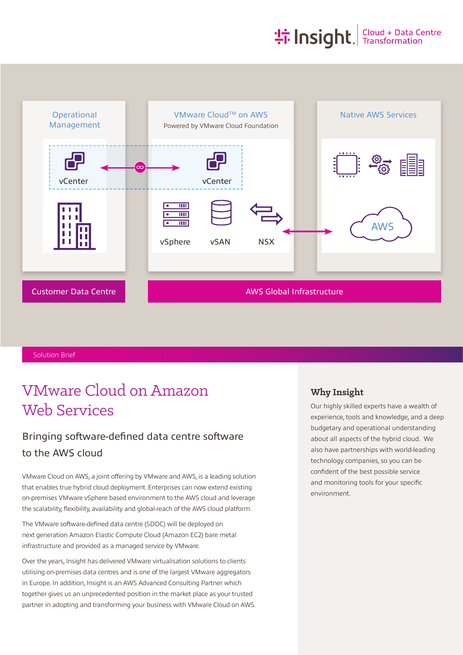# **the Insight**. Transformation



Solution Brief

# VMware Cloud on Amazon Web Services

### Bringing software-defined data centre software to the AWS cloud

VMware Cloud on AWS, a joint offering by VMware and AWS, is a leading solution that enables true hybrid cloud deployment. Enterprises can now extend existing on-premises VMware vSphere based environment to the AWS cloud and leverage the scalability, flexibility, availability and global-reach of the AWS cloud platform.

The VMware software-defined data centre (SDDC) will be deployed on next generation Amazon Elastic Compute Cloud (Amazon EC2) bare metal infrastructure and provided as a managed service by VMware.

Over the years, Insight has delivered VMware virtualisation solutions to clients utilising on-premises data centres and is one of the largest VMware aggregators in Europe. In addition, Insight is an AWS Advanced Consulting Partner which together gives us an unprecedented position in the market place as your trusted partner in adopting and transforming your business with VMware Cloud on AWS.

#### **Why Insight**

Our highly skilled experts have a wealth of experience, tools and knowledge, and a deep budgetary and operational understanding about all aspects of the hybrid cloud. We also have partnerships with world-leading technology companies, so you can be confident of the best possible service and monitoring tools for your specific environment.